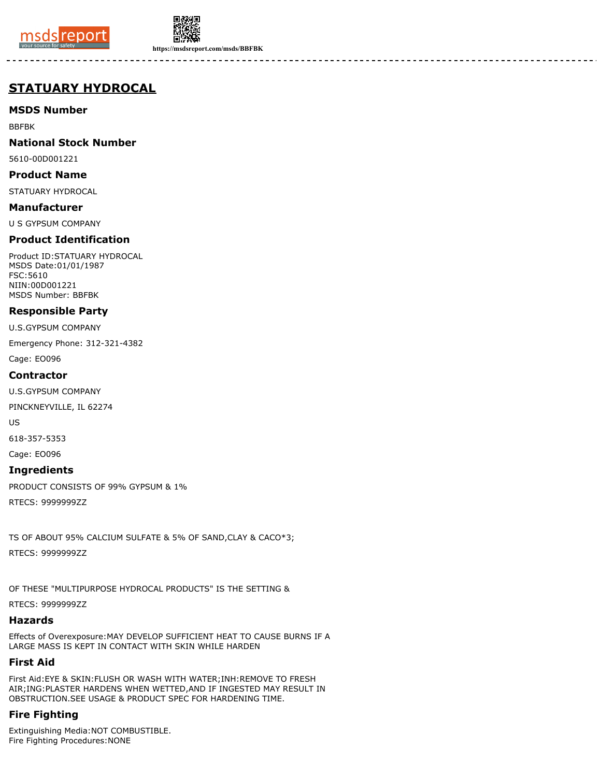



**https://msdsreport.com/msds/BBFBK**

# **STATUARY HYDROCAL**

## **MSDS Number**

BBFBK

## **National Stock Number**

5610-00D001221

#### **Product Name**

STATUARY HYDROCAL

#### **Manufacturer**

U S GYPSUM COMPANY

## **Product Identification**

Product ID:STATUARY HYDROCAL MSDS Date:01/01/1987 FSC:5610 NIIN:00D001221 MSDS Number: BBFBK

#### **Responsible Party**

U.S.GYPSUM COMPANY

Emergency Phone: 312-321-4382

Cage: EO096

#### **Contractor**

U.S.GYPSUM COMPANY

PINCKNEYVILLE, IL 62274

US

618-357-5353

Cage: EO096

#### **Ingredients**

PRODUCT CONSISTS OF 99% GYPSUM & 1%

RTECS: 9999999ZZ

TS OF ABOUT 95% CALCIUM SULFATE & 5% OF SAND,CLAY & CACO\*3;

RTECS: 9999999ZZ

OF THESE "MULTIPURPOSE HYDROCAL PRODUCTS" IS THE SETTING &

RTECS: 9999999ZZ

## **Hazards**

Effects of Overexposure:MAY DEVELOP SUFFICIENT HEAT TO CAUSE BURNS IF A LARGE MASS IS KEPT IN CONTACT WITH SKIN WHILE HARDEN

#### **First Aid**

First Aid:EYE & SKIN:FLUSH OR WASH WITH WATER;INH:REMOVE TO FRESH AIR;ING:PLASTER HARDENS WHEN WETTED,AND IF INGESTED MAY RESULT IN OBSTRUCTION.SEE USAGE & PRODUCT SPEC FOR HARDENING TIME.

## **Fire Fighting**

Extinguishing Media:NOT COMBUSTIBLE. Fire Fighting Procedures:NONE